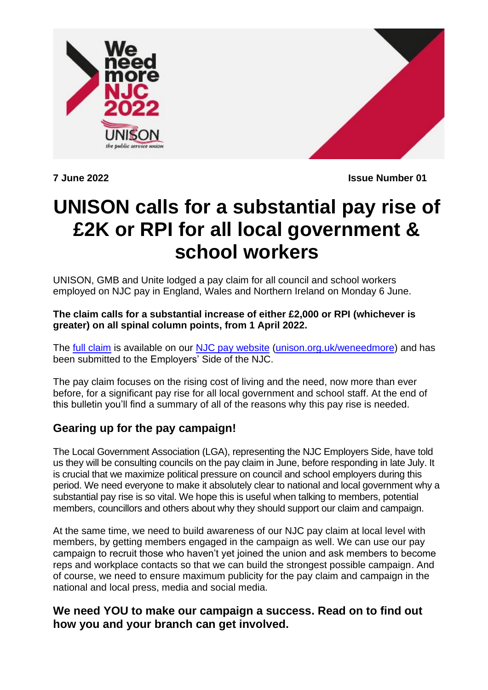



**7 June 2022 Issue Number 01**

# **UNISON calls for a substantial pay rise of £2K or RPI for all local government & school workers**

UNISON, GMB and Unite lodged a pay claim for all council and school workers employed on NJC pay in England, Wales and Northern Ireland on Monday 6 June.

#### **The claim calls for a substantial increase of either £2,000 or RPI (whichever is greater) on all spinal column points, from 1 April 2022.**

The [full claim](https://www.unison.org.uk/content/uploads/2022/06/NJC-Pay-Claim-2022.pdf) is available on our [NJC pay website](http://www.unison.org.uk/weneedmore) [\(unison.org.uk/weneedmore\)](http://www.unison.org.uk/weneedmore) and has been submitted to the Employers' Side of the NJC.

The pay claim focuses on the rising cost of living and the need, now more than ever before, for a significant pay rise for all local government and school staff. At the end of this bulletin you'll find a summary of all of the reasons why this pay rise is needed.

### **Gearing up for the pay campaign!**

The Local Government Association (LGA), representing the NJC Employers Side, have told us they will be consulting councils on the pay claim in June, before responding in late July. It is crucial that we maximize political pressure on council and school employers during this period. We need everyone to make it absolutely clear to national and local government why a substantial pay rise is so vital. We hope this is useful when talking to members, potential members, councillors and others about why they should support our claim and campaign.

At the same time, we need to build awareness of our NJC pay claim at local level with members, by getting members engaged in the campaign as well. We can use our pay campaign to recruit those who haven't yet joined the union and ask members to become reps and workplace contacts so that we can build the strongest possible campaign. And of course, we need to ensure maximum publicity for the pay claim and campaign in the national and local press, media and social media.

### **We need YOU to make our campaign a success. Read on to find out how you and your branch can get involved.**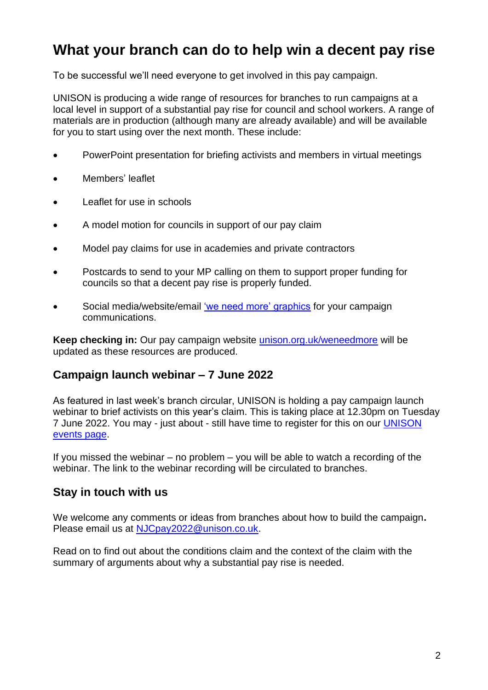## **What your branch can do to help win a decent pay rise**

To be successful we'll need everyone to get involved in this pay campaign.

UNISON is producing a wide range of resources for branches to run campaigns at a local level in support of a substantial pay rise for council and school workers. A range of materials are in production (although many are already available) and will be available for you to start using over the next month. These include:

- PowerPoint presentation for briefing activists and members in virtual meetings
- Members' leaflet
- Leaflet for use in schools
- A model motion for councils in support of our pay claim
- Model pay claims for use in academies and private contractors
- Postcards to send to your MP calling on them to support proper funding for councils so that a decent pay rise is properly funded.
- Social media/website/email ['we need more' graphics](https://medialibrary.unison.org.uk/pages/search.php?search=%21collection513&k=23cca2f295) for your campaign communications.

**Keep checking in:** Our pay campaign website [unison.org.uk/weneedmore](https://www.unison.org.uk/our-campaigns/fair-pay-now-council-school-workers/) will be updated as these resources are produced.

### **Campaign launch webinar – 7 June 2022**

As featured in last week's branch circular, UNISON is holding a pay campaign launch webinar to brief activists on this year's claim. This is taking place at 12.30pm on Tuesday 7 June 2022. You may - just about - still have time to register for this on our [UNISON](https://www.unison.org.uk/events/2022-njc-pay-webinar/)  [events page.](https://www.unison.org.uk/events/2022-njc-pay-webinar/)

If you missed the webinar – no problem – you will be able to watch a recording of the webinar. The link to the webinar recording will be circulated to branches.

### **Stay in touch with us**

We welcome any comments or ideas from branches about how to build the campaign**.**  Please email us at [NJCpay2022@unison.co.uk.](mailto:NJCpay2022@unison.co.uk)

Read on to find out about the conditions claim and the context of the claim with the summary of arguments about why a substantial pay rise is needed.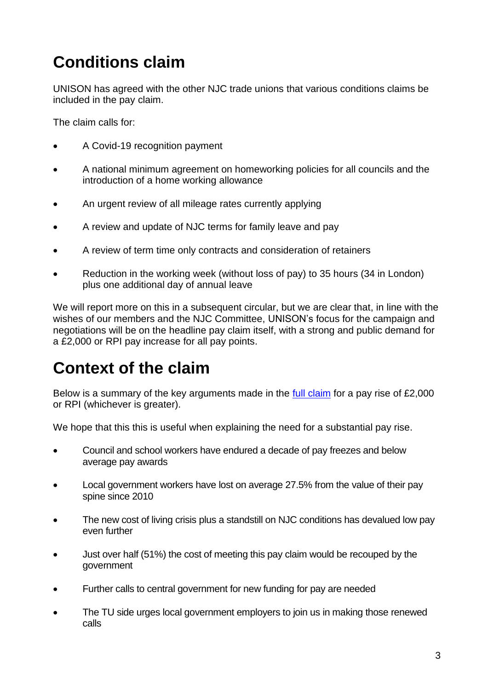# **Conditions claim**

UNISON has agreed with the other NJC trade unions that various conditions claims be included in the pay claim.

The claim calls for:

- A Covid-19 recognition payment
- A national minimum agreement on homeworking policies for all councils and the introduction of a home working allowance
- An urgent review of all mileage rates currently applying
- A review and update of NJC terms for family leave and pay
- A review of term time only contracts and consideration of retainers
- Reduction in the working week (without loss of pay) to 35 hours (34 in London) plus one additional day of annual leave

We will report more on this in a subsequent circular, but we are clear that, in line with the wishes of our members and the NJC Committee, UNISON's focus for the campaign and negotiations will be on the headline pay claim itself, with a strong and public demand for a £2,000 or RPI pay increase for all pay points.

# **Context of the claim**

Below is a summary of the key arguments made in the <u>full claim</u> for a pay rise of £2,000 or RPI (whichever is greater).

We hope that this this is useful when explaining the need for a substantial pay rise.

- Council and school workers have endured a decade of pay freezes and below average pay awards
- Local government workers have lost on average 27.5% from the value of their pay spine since 2010
- The new cost of living crisis plus a standstill on NJC conditions has devalued low pay even further
- Just over half (51%) the cost of meeting this pay claim would be recouped by the government
- Further calls to central government for new funding for pay are needed
- The TU side urges local government employers to join us in making those renewed calls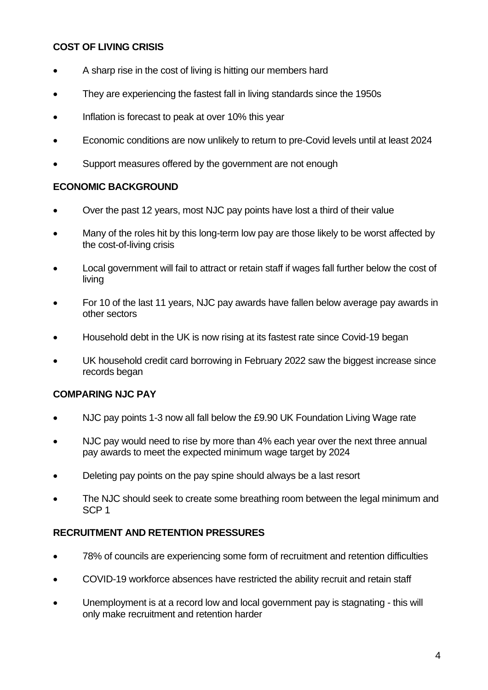### **COST OF LIVING CRISIS**

- A sharp rise in the cost of living is hitting our members hard
- They are experiencing the fastest fall in living standards since the 1950s
- Inflation is forecast to peak at over 10% this year
- Economic conditions are now unlikely to return to pre-Covid levels until at least 2024
- Support measures offered by the government are not enough

#### **ECONOMIC BACKGROUND**

- Over the past 12 years, most NJC pay points have lost a third of their value
- Many of the roles hit by this long-term low pay are those likely to be worst affected by the cost-of-living crisis
- Local government will fail to attract or retain staff if wages fall further below the cost of living
- For 10 of the last 11 years, NJC pay awards have fallen below average pay awards in other sectors
- Household debt in the UK is now rising at its fastest rate since Covid-19 began
- UK household credit card borrowing in February 2022 saw the biggest increase since records began

### **COMPARING NJC PAY**

- NJC pay points 1-3 now all fall below the £9.90 UK Foundation Living Wage rate
- NJC pay would need to rise by more than 4% each year over the next three annual pay awards to meet the expected minimum wage target by 2024
- Deleting pay points on the pay spine should always be a last resort
- The NJC should seek to create some breathing room between the legal minimum and SCP 1

### **RECRUITMENT AND RETENTION PRESSURES**

- 78% of councils are experiencing some form of recruitment and retention difficulties
- COVID-19 workforce absences have restricted the ability recruit and retain staff
- Unemployment is at a record low and local government pay is stagnating this will only make recruitment and retention harder